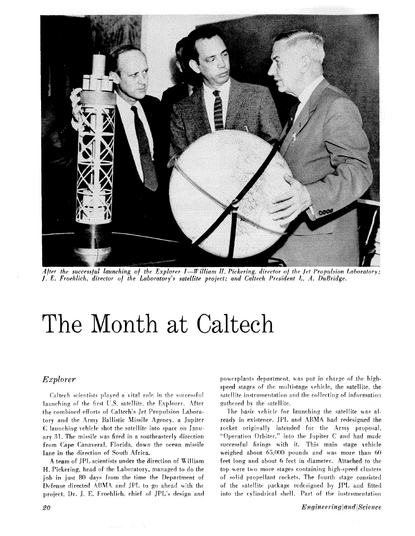

After the successful launching of the Explorer  $I - W$ illiam H. Pickering, director of the Jet Propulsion Laboratory: J. E. Froehlich, director of the Laboratory's satellite project; and Caltech President L. A. DuBridge.

# The Month at Caltech

# Explorer

Caltech scientists played a vital role in the successful launching of the first U.S. satellite, the Explorer. After the combined efforts of Caltech's Jet Propulsion Laboratory and the Army Ballistic Missile Agency, a Jupiter C launching vehicle shot the satellite into space on January 31. The missile was fired in a southeasterly direction from Cape Canaveral, Florida, down the ocean missile lane in the direction of South Africa.

A team of JPL scientists under the direction of William H. Pickering, head of the Laboratory, managed to do the job in just 80 days from the time the Department of Defense directed ABMA and JPL to go ahead with the project. Dr. J. E. Froehlich, chief of JPL's design and powerplants department, was put in charge of the highspeed stages of the multistage vehicle, the satellite, the satellite instrumentation and the collecting of information gathered by the satellite.

The basic vehicle for launching the satellite was already in existence. JPL and ABMA had redesigned the rocket originally intended for the Army proposal, "Operation Orbiter," into the Jupiter C and had made successful firings with it. This main stage vehicle weighed about 65,000 pounds and was more than 60 feet long and about 6 feet in diameter. Attached to the top were two more stages containing high-speed clusters of solid propellant rockets. The fourth stage consisted of the satellite package redesigned by JPL and fitted into the cylindrical shell. Part of the instrumentation